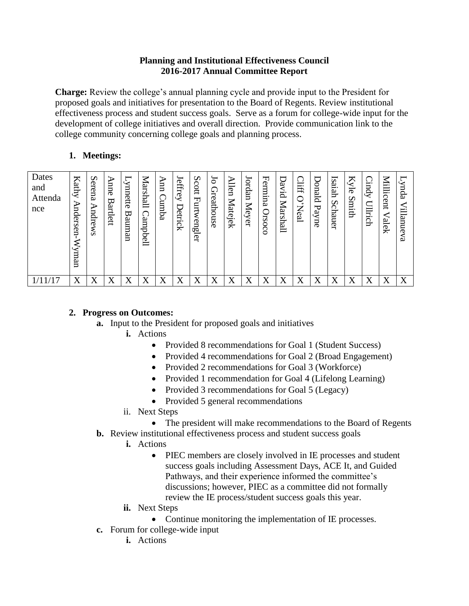## **Planning and Institutional Effectiveness Council 2016-2017 Annual Committee Report**

**Charge:** Review the college's annual planning cycle and provide input to the President for proposed goals and initiatives for presentation to the Board of Regents. Review institutional effectiveness process and student success goals. Serve as a forum for college-wide input for the development of college initiatives and overall direction. Provide communication link to the college community concerning college goals and planning process.

## **1. Meetings:**

| Dates<br>and<br>Attenda<br>nce | $\blacktriangleright$<br>dthy<br>⋗<br>nders<br>Š<br>≋<br>uew. | S<br>erena<br><b>Andre</b><br><b>WS</b> | ⋗<br>anne<br>₩<br>artlett | nnette<br>ᢍ<br>ume<br>gn | ー<br>⋍<br>ars<br>$\mathbf{r}$<br>$\overline{E}$<br>am<br>₩<br>ᡋ<br>$\sigma$<br>ىست | Ann<br>◯<br>amba | 느<br>effrey<br>Detrick | S<br>cott<br>ᄓ<br>urtw<br>$\sigma$<br>ηğ<br>ler | $\mathfrak{g}$<br>Greathouse | ⋗<br>len<br>Matejek | ordan<br>Meyer | Fermina<br>Orsoco | U<br>pivid<br>Marshall | 期<br>$\cdot$<br>⇁<br>∠<br>[8] | ੮<br>blano<br>᠊ᡆ<br>ayne | Isaiah<br>$\boldsymbol{\mathsf{c}}$<br>chauer | Kyle<br>∽<br>hitm | ౧<br>kpur;<br>Illrich | ⋜<br>iillic<br>ent<br>alek | puß-<br>į,<br>llanueva |
|--------------------------------|---------------------------------------------------------------|-----------------------------------------|---------------------------|--------------------------|------------------------------------------------------------------------------------|------------------|------------------------|-------------------------------------------------|------------------------------|---------------------|----------------|-------------------|------------------------|-------------------------------|--------------------------|-----------------------------------------------|-------------------|-----------------------|----------------------------|------------------------|
|                                | $\mathbf v$                                                   | X                                       | X                         | X                        | v<br>Δ                                                                             | X                | v<br>Λ                 | τz<br>Δ                                         | X                            | 37                  |                | X                 | X                      |                               | v<br>Λ                   | $\overline{\mathbf{x}}$<br>Λ                  | X                 | v<br>Λ                | X                          | X                      |

## **2. Progress on Outcomes:**

- **a.** Input to the President for proposed goals and initiatives
	- **i.** Actions
		- Provided 8 recommendations for Goal 1 (Student Success)
		- Provided 4 recommendations for Goal 2 (Broad Engagement)
		- Provided 2 recommendations for Goal 3 (Workforce)
		- Provided 1 recommendation for Goal 4 (Lifelong Learning)
		- Provided 3 recommendations for Goal 5 (Legacy)
		- Provided 5 general recommendations
	- ii. Next Steps
		- The president will make recommendations to the Board of Regents
- **b.** Review institutional effectiveness process and student success goals
	- **i.** Actions
		- PIEC members are closely involved in IE processes and student success goals including Assessment Days, ACE It, and Guided Pathways, and their experience informed the committee's discussions; however, PIEC as a committee did not formally review the IE process/student success goals this year.
	- **ii.** Next Steps
		- Continue monitoring the implementation of IE processes.
- **c.** Forum for college-wide input
	- **i.** Actions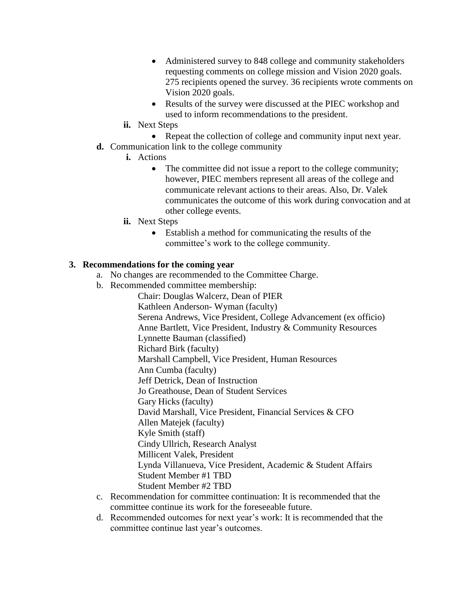- Administered survey to 848 college and community stakeholders requesting comments on college mission and Vision 2020 goals. 275 recipients opened the survey. 36 recipients wrote comments on Vision 2020 goals.
- Results of the survey were discussed at the PIEC workshop and used to inform recommendations to the president.
- **ii.** Next Steps
- Repeat the collection of college and community input next year.
- **d.** Communication link to the college community
	- **i.** Actions
		- The committee did not issue a report to the college community; however, PIEC members represent all areas of the college and communicate relevant actions to their areas. Also, Dr. Valek communicates the outcome of this work during convocation and at other college events.
	- **ii.** Next Steps
		- Establish a method for communicating the results of the committee's work to the college community.

## **3. Recommendations for the coming year**

- a. No changes are recommended to the Committee Charge.
- b. Recommended committee membership:

Chair: Douglas Walcerz, Dean of PIER Kathleen Anderson- Wyman (faculty) Serena Andrews, Vice President, College Advancement (ex officio) Anne Bartlett, Vice President, Industry & Community Resources Lynnette Bauman (classified) Richard Birk (faculty) Marshall Campbell, Vice President, Human Resources Ann Cumba (faculty) Jeff Detrick, Dean of Instruction Jo Greathouse, Dean of Student Services Gary Hicks (faculty) David Marshall, Vice President, Financial Services & CFO Allen Matejek (faculty) Kyle Smith (staff) Cindy Ullrich, Research Analyst Millicent Valek, President Lynda Villanueva, Vice President, Academic & Student Affairs Student Member #1 TBD Student Member #2 TBD

- c. Recommendation for committee continuation: It is recommended that the committee continue its work for the foreseeable future.
- d. Recommended outcomes for next year's work: It is recommended that the committee continue last year's outcomes.